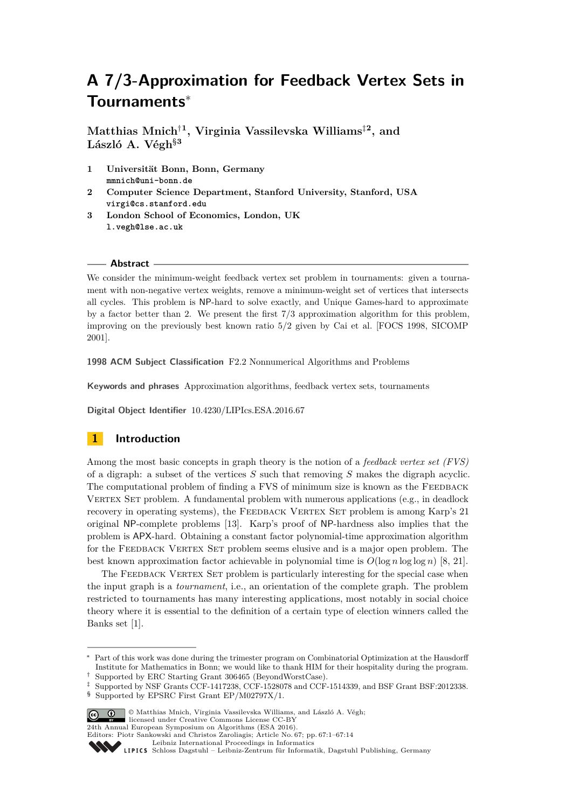# **A 7/3-Approximation for Feedback Vertex Sets in Tournaments**<sup>∗</sup>

**Matthias Mnich**†**<sup>1</sup> , Virginia Vassilevska Williams**‡**<sup>2</sup> , and László A. Végh**§**<sup>3</sup>**

- **1 Universität Bonn, Bonn, Germany mmnich@uni-bonn.de**
- **2 Computer Science Department, Stanford University, Stanford, USA virgi@cs.stanford.edu**
- **3 London School of Economics, London, UK l.vegh@lse.ac.uk**

#### **Abstract**

We consider the minimum-weight feedback vertex set problem in tournaments: given a tournament with non-negative vertex weights, remove a minimum-weight set of vertices that intersects all cycles. This problem is NP-hard to solve exactly, and Unique Games-hard to approximate by a factor better than 2. We present the first 7*/*3 approximation algorithm for this problem, improving on the previously best known ratio 5*/*2 given by Cai et al. [FOCS 1998, SICOMP 2001].

**1998 ACM Subject Classification** F2.2 Nonnumerical Algorithms and Problems

**Keywords and phrases** Approximation algorithms, feedback vertex sets, tournaments

**Digital Object Identifier** [10.4230/LIPIcs.ESA.2016.67](http://dx.doi.org/10.4230/LIPIcs.ESA.2016.67)

# **1 Introduction**

Among the most basic concepts in graph theory is the notion of a *feedback vertex set (FVS)* of a digraph: a subset of the vertices *S* such that removing *S* makes the digraph acyclic. The computational problem of finding a FVS of minimum size is known as the FEEDBACK VERTEX SET problem. A fundamental problem with numerous applications (e.g., in deadlock recovery in operating systems), the FEEDBACK VERTEX SET problem is among Karp's 21 original NP-complete problems [\[13\]](#page-12-0). Karp's proof of NP-hardness also implies that the problem is APX-hard. Obtaining a constant factor polynomial-time approximation algorithm for the FEEDBACK VERTEX SET problem seems elusive and is a major open problem. The best known approximation factor achievable in polynomial time is  $O(\log n \log \log n)$  [\[8,](#page-12-1) [21\]](#page-13-0).

The FEEDBACK VERTEX SET problem is particularly interesting for the special case when the input graph is a *tournament*, i.e., an orientation of the complete graph. The problem restricted to tournaments has many interesting applications, most notably in social choice theory where it is essential to the definition of a certain type of election winners called the Banks set [\[1\]](#page-12-2).

<sup>§</sup> Supported by EPSRC First Grant EP/M02797X/1.



© Matthias Mnich, Virginia Vassilevska Williams, and László A. Végh; licensed under Creative Commons License CC-BY

Part of this work was done during the trimester program on Combinatorial Optimization at the Hausdorff Institute for Mathematics in Bonn; we would like to thank HIM for their hospitality during the program.

<sup>†</sup> Supported by ERC Starting Grant 306465 (BeyondWorstCase).

<sup>‡</sup> Supported by NSF Grants CCF-1417238, CCF-1528078 and CCF-1514339, and BSF Grant BSF:2012338.

<sup>24</sup>th Annual European Symposium on Algorithms (ESA 2016). Editors: Piotr Sankowski and Christos Zaroliagis; Article No. 67; pp. 67:1–67[:14](#page-13-1)

Leibniz International Proceedings in Informatio

Leibniz international ruse einigs in missimosischen Publishing, Germany<br>LIPICS [Schloss Dagstuhl – Leibniz-Zentrum für Informatik, Dagstuhl Publishing, Germany](http://www.dagstuhl.de)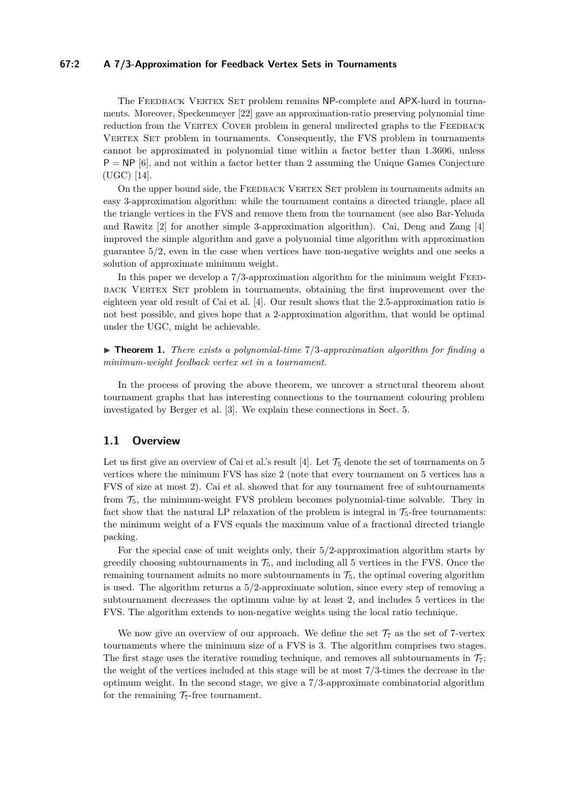# **67:2 A 7/3-Approximation for Feedback Vertex Sets in Tournaments**

The FEEDBACK VERTEX SET problem remains NP-complete and APX-hard in tournaments. Moreover, Speckenmeyer [\[22\]](#page-13-2) gave an approximation-ratio preserving polynomial time reduction from the VERTEX COVER problem in general undirected graphs to the FEEDBACK VERTEX SET problem in tournaments. Consequently, the FVS problem in tournaments cannot be approximated in polynomial time within a factor better than 1*.*3606, unless  $P = NP$  [\[6\]](#page-12-3), and not within a factor better than 2 assuming the Unique Games Conjecture (UGC) [\[14\]](#page-12-4).

On the upper bound side, the FEEDBACK VERTEX SET problem in tournaments admits an easy 3-approximation algorithm: while the tournament contains a directed triangle, place all the triangle vertices in the FVS and remove them from the tournament (see also Bar-Yehuda and Rawitz [\[2\]](#page-12-5) for another simple 3-approximation algorithm). Cai, Deng and Zang [\[4\]](#page-12-6) improved the simple algorithm and gave a polynomial time algorithm with approximation guarantee 5*/*2, even in the case when vertices have non-negative weights and one seeks a solution of approximate minimum weight.

In this paper we develop a  $7/3$ -approximation algorithm for the minimum weight FEEDback Vertex Set problem in tournaments, obtaining the first improvement over the eighteen year old result of Cai et al. [\[4\]](#page-12-6). Our result shows that the 2.5-approximation ratio is not best possible, and gives hope that a 2-approximation algorithm, that would be optimal under the UGC, might be achievable.

<span id="page-1-0"></span>▶ **Theorem 1.** *There exists a polynomial-time*  $7/3$ -*approximation algorithm for finding a minimum-weight feedback vertex set in a tournament.*

In the process of proving the above theorem, we uncover a structural theorem about tournament graphs that has interesting connections to the tournament colouring problem investigated by Berger et al. [\[3\]](#page-12-7). We explain these connections in Sect. [5.](#page-11-0)

#### **1.1 Overview**

Let us first give an overview of Cai et al.'s result [\[4\]](#page-12-6). Let  $\mathcal{T}_5$  denote the set of tournaments on 5 vertices where the minimum FVS has size 2 (note that every tournament on 5 vertices has a FVS of size at most 2). Cai et al. showed that for any tournament free of subtournaments from  $\mathcal{T}_5$ , the minimum-weight FVS problem becomes polynomial-time solvable. They in fact show that the natural LP relaxation of the problem is integral in  $\mathcal{T}_5$ -free tournaments: the minimum weight of a FVS equals the maximum value of a fractional directed triangle packing.

For the special case of unit weights only, their 5*/*2-approximation algorithm starts by greedily choosing subtournaments in  $\mathcal{T}_5$ , and including all 5 vertices in the FVS. Once the remaining tournament admits no more subtournaments in  $\mathcal{T}_5$ , the optimal covering algorithm is used. The algorithm returns a 5*/*2-approximate solution, since every step of removing a subtournament decreases the optimum value by at least 2, and includes 5 vertices in the FVS. The algorithm extends to non-negative weights using the local ratio technique.

We now give an overview of our approach. We define the set  $\mathcal{T}_7$  as the set of 7-vertex tournaments where the minimum size of a FVS is 3. The algorithm comprises two stages. The first stage uses the iterative rounding technique, and removes all subtournaments in  $\mathcal{T}_7$ ; the weight of the vertices included at this stage will be at most 7*/*3-times the decrease in the optimum weight. In the second stage, we give a 7*/*3-approximate combinatorial algorithm for the remaining  $\mathcal{T}_7$ -free tournament.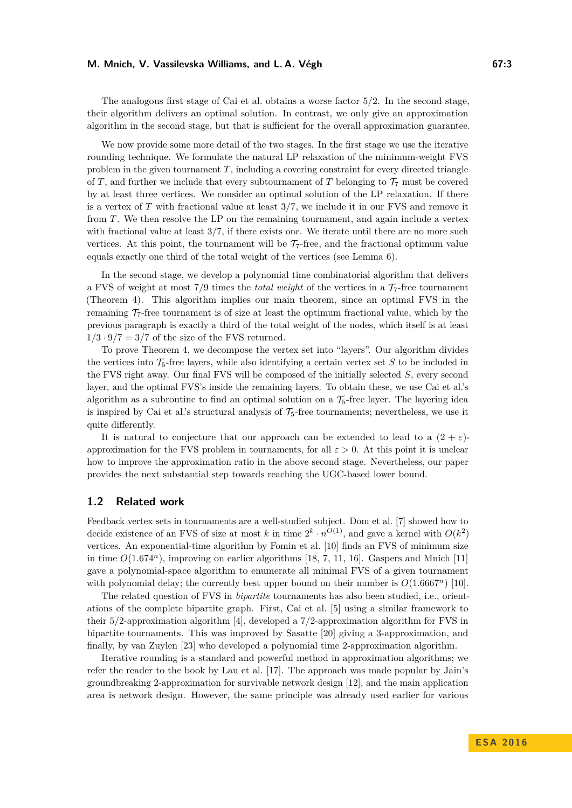The analogous first stage of Cai et al. obtains a worse factor 5*/*2. In the second stage, their algorithm delivers an optimal solution. In contrast, we only give an approximation algorithm in the second stage, but that is sufficient for the overall approximation guarantee.

We now provide some more detail of the two stages. In the first stage we use the iterative rounding technique. We formulate the natural LP relaxation of the minimum-weight FVS problem in the given tournament *T*, including a covering constraint for every directed triangle of *T*, and further we include that every subtournament of *T* belonging to  $\mathcal{T}_7$  must be covered by at least three vertices. We consider an optimal solution of the LP relaxation. If there is a vertex of *T* with fractional value at least 3*/*7, we include it in our FVS and remove it from *T*. We then resolve the LP on the remaining tournament, and again include a vertex with fractional value at least  $3/7$ , if there exists one. We iterate until there are no more such vertices. At this point, the tournament will be  $\mathcal{T}_7$ -free, and the fractional optimum value equals exactly one third of the total weight of the vertices (see Lemma [6\)](#page-5-0).

In the second stage, we develop a polynomial time combinatorial algorithm that delivers a FVS of weight at most  $7/9$  times the *total weight* of the vertices in a  $7/7$ -free tournament (Theorem [4\)](#page-5-1). This algorithm implies our main theorem, since an optimal FVS in the remaining  $\mathcal{T}_7$ -free tournament is of size at least the optimum fractional value, which by the previous paragraph is exactly a third of the total weight of the nodes, which itself is at least  $1/3 \cdot 9/7 = 3/7$  of the size of the FVS returned.

To prove Theorem [4,](#page-5-1) we decompose the vertex set into "layers". Our algorithm divides the vertices into  $\mathcal{T}_5$ -free layers, while also identifying a certain vertex set *S* to be included in the FVS right away. Our final FVS will be composed of the initially selected *S*, every second layer, and the optimal FVS's inside the remaining layers. To obtain these, we use Cai et al.'s algorithm as a subroutine to find an optimal solution on a  $\mathcal{T}_5$ -free layer. The layering idea is inspired by Cai et al.'s structural analysis of  $\mathcal{T}_5$ -free tournaments; nevertheless, we use it quite differently.

It is natural to conjecture that our approach can be extended to lead to a  $(2 + \varepsilon)$ approximation for the FVS problem in tournaments, for all  $\varepsilon > 0$ . At this point it is unclear how to improve the approximation ratio in the above second stage. Nevertheless, our paper provides the next substantial step towards reaching the UGC-based lower bound.

# **1.2 Related work**

Feedback vertex sets in tournaments are a well-studied subject. Dom et al. [\[7\]](#page-12-8) showed how to decide existence of an FVS of size at most *k* in time  $2^k \cdot n^{O(1)}$ , and gave a kernel with  $O(k^2)$ vertices. An exponential-time algorithm by Fomin et al. [\[10\]](#page-12-9) finds an FVS of minimum size in time  $O(1.674^n)$ , improving on earlier algorithms [\[18,](#page-12-10) [7,](#page-12-8) [11,](#page-12-11) [16\]](#page-12-12). Gaspers and Mnich [\[11\]](#page-12-11) gave a polynomial-space algorithm to enumerate all minimal FVS of a given tournament with polynomial delay; the currently best upper bound on their number is  $O(1.6667<sup>n</sup>)$  [\[10\]](#page-12-9).

The related question of FVS in *bipartite* tournaments has also been studied, i.e., orientations of the complete bipartite graph. First, Cai et al. [\[5\]](#page-12-13) using a similar framework to their 5*/*2-approximation algorithm [\[4\]](#page-12-6), developed a 7*/*2-approximation algorithm for FVS in bipartite tournaments. This was improved by Sasatte [\[20\]](#page-13-3) giving a 3-approximation, and finally, by van Zuylen [\[23\]](#page-13-4) who developed a polynomial time 2-approximation algorithm.

Iterative rounding is a standard and powerful method in approximation algorithms; we refer the reader to the book by Lau et al. [\[17\]](#page-12-14). The approach was made popular by Jain's groundbreaking 2-approximation for survivable network design [\[12\]](#page-12-15), and the main application area is network design. However, the same principle was already used earlier for various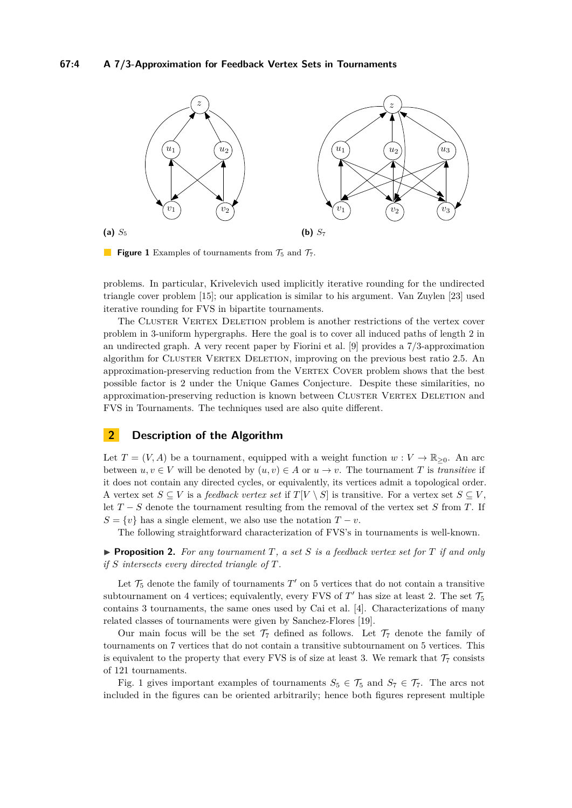<span id="page-3-0"></span>

**Figure 1** Examples of tournaments from  $\mathcal{T}_5$  and  $\mathcal{T}_7$ .

problems. In particular, Krivelevich used implicitly iterative rounding for the undirected triangle cover problem [\[15\]](#page-12-16); our application is similar to his argument. Van Zuylen [\[23\]](#page-13-4) used iterative rounding for FVS in bipartite tournaments.

The CLUSTER VERTEX DELETION problem is another restrictions of the vertex cover problem in 3-uniform hypergraphs. Here the goal is to cover all induced paths of length 2 in an undirected graph. A very recent paper by Fiorini et al. [\[9\]](#page-12-17) provides a 7/3-approximation algorithm for CLUSTER VERTEX DELETION, improving on the previous best ratio 2.5. An approximation-preserving reduction from the VERTEX COVER problem shows that the best possible factor is 2 under the Unique Games Conjecture. Despite these similarities, no approximation-preserving reduction is known between CLUSTER VERTEX DELETION and FVS in Tournaments. The techniques used are also quite different.

# **2 Description of the Algorithm**

Let  $T = (V, A)$  be a tournament, equipped with a weight function  $w : V \to \mathbb{R}_{\geq 0}$ . An arc between  $u, v \in V$  will be denoted by  $(u, v) \in A$  or  $u \to v$ . The tournament *T* is *transitive* if it does not contain any directed cycles, or equivalently, its vertices admit a topological order. A vertex set  $S \subseteq V$  is a *feedback vertex set* if  $T[V \setminus S]$  is transitive. For a vertex set  $S \subseteq V$ , let *T* − *S* denote the tournament resulting from the removal of the vertex set *S* from *T*. If  $S = \{v\}$  has a single element, we also use the notation  $T - v$ .

The following straightforward characterization of FVS's in tournaments is well-known.

<span id="page-3-1"></span>**Proposition 2.** For any tournament  $T$ , a set  $S$  is a feedback vertex set for  $T$  if and only *if S intersects every directed triangle of T.*

Let  $\mathcal{T}_5$  denote the family of tournaments  $T'$  on 5 vertices that do not contain a transitive subtournament on 4 vertices; equivalently, every FVS of  $T'$  has size at least 2. The set  $\mathcal{T}_5$ contains 3 tournaments, the same ones used by Cai et al. [\[4\]](#page-12-6). Characterizations of many related classes of tournaments were given by Sanchez-Flores [\[19\]](#page-13-5).

Our main focus will be the set  $\mathcal{T}_7$  defined as follows. Let  $\mathcal{T}_7$  denote the family of tournaments on 7 vertices that do not contain a transitive subtournament on 5 vertices. This is equivalent to the property that every FVS is of size at least 3. We remark that  $\mathcal{T}_7$  consists of 121 tournaments.

Fig. [1](#page-3-0) gives important examples of tournaments  $S_5 \in \mathcal{T}_5$  and  $S_7 \in \mathcal{T}_7$ . The arcs not included in the figures can be oriented arbitrarily; hence both figures represent multiple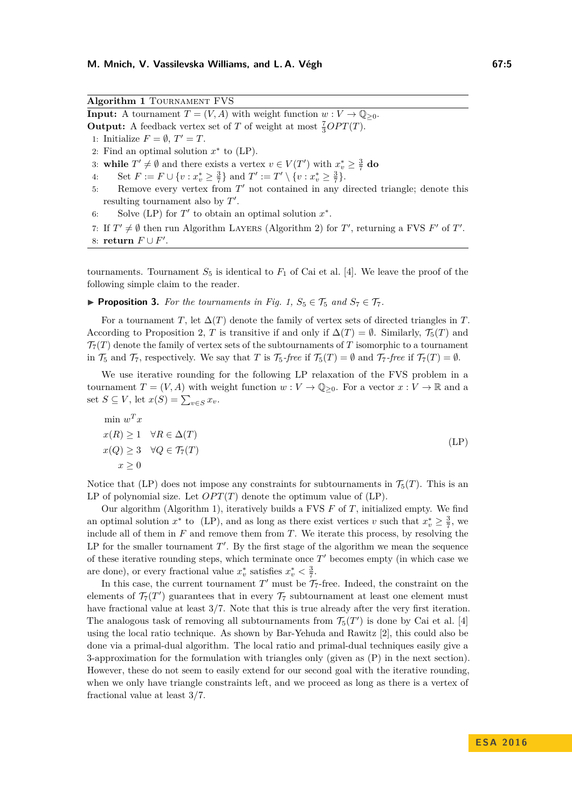<span id="page-4-1"></span>**Algorithm 1** Tournament FVS **Input:** A tournament  $T = (V, A)$  with weight function  $w: V \to \mathbb{Q}_{\geq 0}$ . **Output:** A feedback vertex set of *T* of weight at most  $\frac{7}{3}OPT(T)$ . 1: Initialize  $F = \emptyset$ ,  $T' = T$ . 2: Find an optimal solution  $x^*$  to  $(LP)$ . 3: **while**  $T' \neq \emptyset$  and there exists a vertex  $v \in V(T')$  with  $x_v^* \geq \frac{3}{7}$  do 4: Set  $F := F \cup \{v : x_v^* \ge \frac{3}{7}\}$  and  $T' := T' \setminus \{v : x_v^* \ge \frac{3}{7}\}.$ 5: Remove every vertex from  $T'$  not contained in any directed triangle; denote this resulting tournament also by  $T'$ . 6: Solve [\(LP\)](#page-4-0) for  $T'$  to obtain an optimal solution  $x^*$ . 7: If  $T' \neq \emptyset$  then run Algorithm LAYERS (Algorithm [2\)](#page-8-0) for *T'*, returning a FVS *F'* of *T'*.

8: **return**  $F \cup F'$ .

tournaments. Tournament  $S_5$  is identical to  $F_1$  of Cai et al. [\[4\]](#page-12-6). We leave the proof of the following simple claim to the reader.

**Proposition 3.** For the tournaments in Fig. [1,](#page-3-0)  $S_5 \in \mathcal{T}_5$  and  $S_7 \in \mathcal{T}_7$ .

For a tournament *T*, let  $\Delta(T)$  denote the family of vertex sets of directed triangles in *T*. According to Proposition [2,](#page-3-1) *T* is transitive if and only if  $\Delta(T) = \emptyset$ . Similarly,  $\mathcal{T}_5(T)$  and  $\mathcal{T}_7(T)$  denote the family of vertex sets of the subtournaments of T isomorphic to a tournament in  $\mathcal{T}_5$  and  $\mathcal{T}_7$ , respectively. We say that *T* is  $\mathcal{T}_5$ -free if  $\mathcal{T}_5(T) = \emptyset$  and  $\mathcal{T}_7$ -free if  $\mathcal{T}_7(T) = \emptyset$ .

We use iterative rounding for the following LP relaxation of the FVS problem in a tournament  $T = (V, A)$  with weight function  $w: V \to \mathbb{Q}_{\geq 0}$ . For a vector  $x: V \to \mathbb{R}$  and a set  $S \subseteq V$ , let  $x(S) = \sum_{v \in S} x_v$ .

<span id="page-4-0"></span>
$$
\min_{x(R)} w^T x
$$
  
\n
$$
x(R) \ge 1 \quad \forall R \in \Delta(T)
$$
  
\n
$$
x(Q) \ge 3 \quad \forall Q \in \mathcal{T}_7(T)
$$
  
\n
$$
x \ge 0
$$
\n(LP)

Notice that [\(LP\)](#page-4-0) does not impose any constraints for subtournaments in  $\mathcal{T}_5(T)$ . This is an LP of polynomial size. Let  $OPT(T)$  denote the optimum value of  $(LP)$ .

Our algorithm (Algorithm [1\)](#page-4-1), iteratively builds a FVS *F* of *T*, initialized empty. We find an optimal solution  $x^*$  to [\(LP\)](#page-4-0), and as long as there exist vertices *v* such that  $x_v^* \geq \frac{3}{7}$ , we include all of them in *F* and remove them from *T*. We iterate this process, by resolving the LP for the smaller tournament  $T'$ . By the first stage of the algorithm we mean the sequence of these iterative rounding steps, which terminate once  $T'$  becomes empty (in which case we are done), or every fractional value  $x_v^*$  satisfies  $x_v^* < \frac{3}{7}$ .

In this case, the current tournament  $T'$  must be  $\mathcal{T}_7$ -free. Indeed, the constraint on the elements of  $\mathcal{T}_7(T')$  guarantees that in every  $\mathcal{T}_7$  subtournament at least one element must have fractional value at least 3*/*7. Note that this is true already after the very first iteration. The analogous task of removing all subtournaments from  $\mathcal{T}_5(T')$  is done by Cai et al. [\[4\]](#page-12-6) using the local ratio technique. As shown by Bar-Yehuda and Rawitz [\[2\]](#page-12-5), this could also be done via a primal-dual algorithm. The local ratio and primal-dual techniques easily give a 3-approximation for the formulation with triangles only (given as [\(P\)](#page-5-2) in the next section). However, these do not seem to easily extend for our second goal with the iterative rounding, when we only have triangle constraints left, and we proceed as long as there is a vertex of fractional value at least 3*/*7.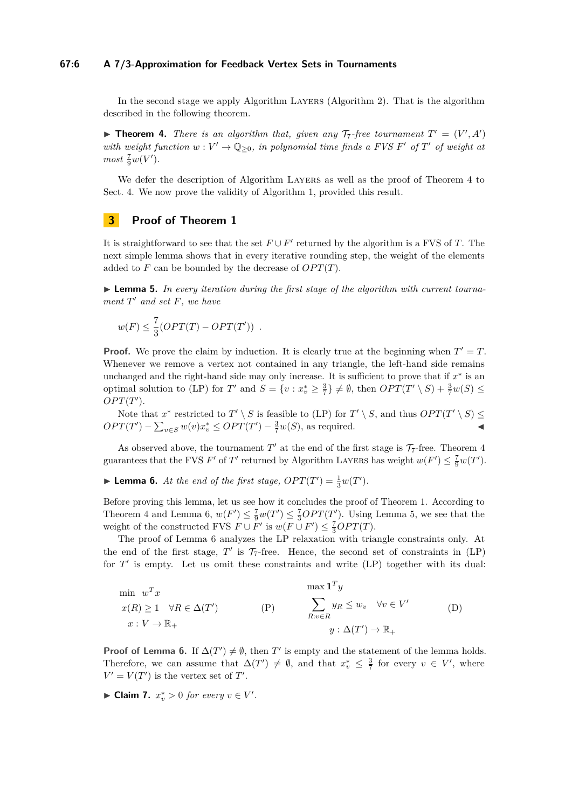#### **67:6 A 7/3-Approximation for Feedback Vertex Sets in Tournaments**

In the second stage we apply Algorithm LAYERS (Algorithm [2\)](#page-8-0). That is the algorithm described in the following theorem.

<span id="page-5-1"></span>**Theorem 4.** *There is an algorithm that, given any*  $\mathcal{T}_7$ -free tournament  $T' = (V', A')$ *with weight function*  $w: V' \to \mathbb{Q}_{\geq 0}$ , in polynomial time finds a FVS F' of T' of weight at  $most \frac{7}{9}w(V')$ *.* 

We defer the description of Algorithm LAYERS as well as the proof of Theorem [4](#page-5-1) to Sect. [4.](#page-6-0) We now prove the validity of Algorithm [1,](#page-4-1) provided this result.

# **3 Proof of Theorem [1](#page-1-0)**

It is straightforward to see that the set  $F \cup F'$  returned by the algorithm is a FVS of *T*. The next simple lemma shows that in every iterative rounding step, the weight of the elements added to  $F$  can be bounded by the decrease of  $OPT(T)$ .

<span id="page-5-3"></span>▶ **Lemma 5.** *In every iteration during the first stage of the algorithm with current tournament T* <sup>0</sup> *and set F, we have*

$$
w(F) \leq \frac{7}{3}(OPT(T) - OPT(T')) .
$$

**Proof.** We prove the claim by induction. It is clearly true at the beginning when  $T' = T$ . Whenever we remove a vertex not contained in any triangle, the left-hand side remains unchanged and the right-hand side may only increase. It is sufficient to prove that if  $x^*$  is an optimal solution to [\(LP\)](#page-4-0) for *T*' and  $S = \{v : x_v^* \ge \frac{3}{7}\} \ne \emptyset$ , then  $OPT(T' \setminus S) + \frac{3}{7}w(S) \le$  $OPT(T')$ .

Note that  $x^*$  restricted to  $T' \setminus S$  is feasible to [\(LP\)](#page-4-0) for  $T' \setminus S$ , and thus  $OPT(T' \setminus S) \leq$  $OPT(T') - \sum_{v \in S} w(v)x_v^* \le OPT(T') - \frac{3}{7}w(S)$ , as required.

As observed above, the tournament  $T'$  at the end of the first stage is  $\mathcal{T}_7$ -free. Theorem [4](#page-5-1) guarantees that the FVS *F*' of *T*' returned by Algorithm LAYERS has weight  $w(F') \leq \frac{7}{9}w(T')$ .

<span id="page-5-0"></span>**Example 1 C** *At the end of the first stage,*  $OPT(T') = \frac{1}{3}w(T')$ *.* 

Before proving this lemma, let us see how it concludes the proof of Theorem [1.](#page-1-0) According to Theorem [4](#page-5-1) and Lemma [6,](#page-5-0)  $w(F') \leq \frac{7}{9}w(T') \leq \frac{7}{3}OPT(T')$ . Using Lemma [5,](#page-5-3) we see that the weight of the constructed FVS  $F \cup F'$  is  $w(F \cup F') \leq \frac{7}{3}OPT(T)$ .

The proof of Lemma [6](#page-5-0) analyzes the LP relaxation with triangle constraints only. At the end of the first stage,  $T'$  is  $\mathcal{T}_7$ -free. Hence, the second set of constraints in  $(LP)$ for  $T'$  is empty. Let us omit these constraints and write  $(LP)$  together with its dual:

<span id="page-5-4"></span><span id="page-5-2"></span>
$$
\min_{w} w^{T} x
$$
\n
$$
x(R) \ge 1 \quad \forall R \in \Delta(T')
$$
\n
$$
x: V \to \mathbb{R}_{+}
$$
\n
$$
\text{(P)} \qquad \sum_{R: v \in R} y_{R} \le w_{v} \quad \forall v \in V'
$$
\n
$$
y: \Delta(T') \to \mathbb{R}_{+}
$$
\n
$$
(D)
$$

**Proof of Lemma [6.](#page-5-0)** If  $\Delta(T') \neq \emptyset$ , then *T*' is empty and the statement of the lemma holds. Therefore, we can assume that  $\Delta(T') \neq \emptyset$ , and that  $x_v^* \leq \frac{3}{7}$  for every  $v \in V'$ , where  $V' = V(T')$  is the vertex set of *T*'.

► Claim 7.  $x_v^* > 0$  for every  $v \in V'$ .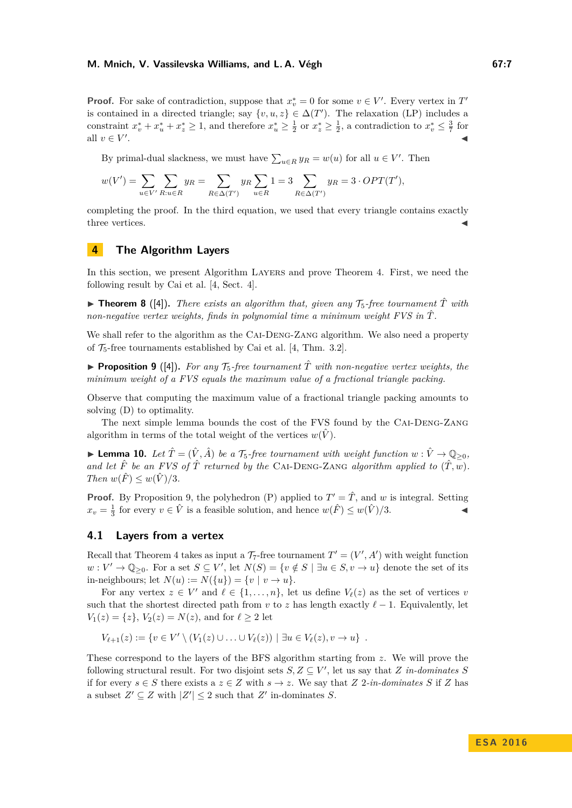**Proof.** For sake of contradiction, suppose that  $x_v^* = 0$  for some  $v \in V'$ . Every vertex in  $T'$ is contained in a directed triangle; say  $\{v, u, z\} \in \Delta(T')$ . The relaxation [\(LP\)](#page-4-0) includes a constraint  $x_v^* + x_u^* + x_z^* \ge 1$ , and therefore  $x_u^* \ge \frac{1}{2}$  or  $x_z^* \ge \frac{1}{2}$ , a contradiction to  $x_v^* \le \frac{3}{7}$  for all  $v \in V'$ . J

By primal-dual slackness, we must have  $\sum_{u \in R} y_R = w(u)$  for all  $u \in V'$ . Then

$$
w(V') = \sum_{u \in V'} \sum_{R: u \in R} y_R = \sum_{R \in \Delta(T')} y_R \sum_{u \in R} 1 = 3 \sum_{R \in \Delta(T')} y_R = 3 \cdot OPT(T'),
$$

completing the proof. In the third equation, we used that every triangle contains exactly three vertices.

# <span id="page-6-0"></span>**4 The Algorithm Layers**

In this section, we present Algorithm LAYERS and prove Theorem [4.](#page-5-1) First, we need the following result by Cai et al. [\[4,](#page-12-6) Sect. 4].

**In Theorem 8** ([\[4\]](#page-12-6)). There exists an algorithm that, given any  $\mathcal{T}_5$ -free tournament  $\hat{T}$  with *non-negative vertex weights, finds in polynomial time a minimum weight FVS in T*ˆ*.*

We shall refer to the algorithm as the CAI-DENG-ZANG algorithm. We also need a property of  $\mathcal{T}_5$ -free tournaments established by Cai et al. [\[4,](#page-12-6) Thm. 3.2].

<span id="page-6-1"></span>**Proposition 9** ([\[4\]](#page-12-6)). For any  $\mathcal{T}_5$ -free tournament  $\hat{T}$  with non-negative vertex weights, the *minimum weight of a FVS equals the maximum value of a fractional triangle packing.*

Observe that computing the maximum value of a fractional triangle packing amounts to solving [\(D\)](#page-5-4) to optimality.

The next simple lemma bounds the cost of the FVS found by the Cai-Deng-Zang algorithm in terms of the total weight of the vertices  $w(\hat{V})$ .

<span id="page-6-2"></span>▶ **Lemma 10.** *Let*  $\hat{T} = (\hat{V}, \hat{A})$  *be a*  $\mathcal{T}_5$ -free tournament with weight function  $w : \hat{V} \to \mathbb{Q}_{\geq 0}$ , and let  $\hat{F}$  be an FVS of  $\hat{T}$  returned by the CAI-DENG-ZANG algorithm applied to  $(\hat{T}, w)$ . *Then*  $w(\hat{F}) \leq w(\hat{V})/3$ *.* 

**Proof.** By Proposition [9,](#page-6-1) the polyhedron [\(P\)](#page-5-2) applied to  $T' = \hat{T}$ , and *w* is integral. Setting  $x_v = \frac{1}{3}$  for every  $v \in \hat{V}$  is a feasible solution, and hence  $w(\hat{F}) \leq w(\hat{V})/3$ .

# **4.1 Layers from a vertex**

Recall that Theorem [4](#page-5-1) takes as input a  $\mathcal{T}_7$ -free tournament  $T' = (V', A')$  with weight function  $w: V' \to \mathbb{Q}_{\geq 0}$ . For a set  $S \subseteq V'$ , let  $N(S) = \{v \notin S \mid \exists u \in S, v \to u\}$  denote the set of its in-neighbours; let  $N(u) := N({u}) = {v \mid v \to u}.$ 

For any vertex  $z \in V'$  and  $\ell \in \{1, \ldots, n\}$ , let us define  $V_{\ell}(z)$  as the set of vertices *v* such that the shortest directed path from *v* to *z* has length exactly  $\ell - 1$ . Equivalently, let  $V_1(z) = \{z\}, V_2(z) = N(z)$ , and for  $\ell \geq 2$  let

$$
V_{\ell+1}(z) := \{ v \in V' \setminus (V_1(z) \cup \ldots \cup V_{\ell}(z)) \mid \exists u \in V_{\ell}(z), v \to u \} .
$$

These correspond to the layers of the BFS algorithm starting from *z*. We will prove the following structural result. For two disjoint sets  $S, Z \subseteq V'$ , let us say that *Z in-dominates S* if for every  $s \in S$  there exists a  $z \in Z$  with  $s \to z$ . We say that  $Z$  2*-in-dominates*  $S$  if  $Z$  has a subset  $Z' \subseteq Z$  with  $|Z'| \leq 2$  such that  $Z'$  in-dominates *S*.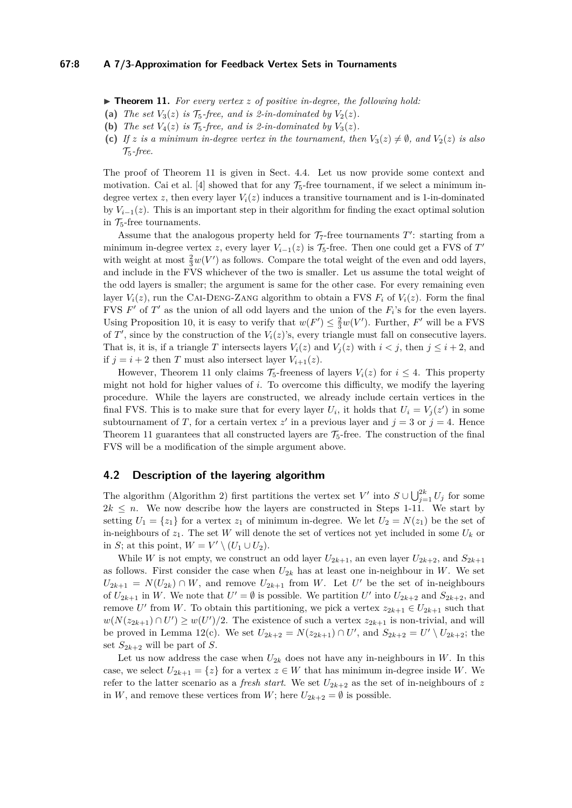#### **67:8 A 7/3-Approximation for Feedback Vertex Sets in Tournaments**

<span id="page-7-0"></span> $\triangleright$  **Theorem 11.** For every vertex *z* of positive in-degree, the following hold:

- (a) *The set*  $V_3(z)$  *is*  $\mathcal{T}_5$ -free, and *is* 2-in-dominated by  $V_2(z)$ *.*
- **(b)** *The set*  $V_4(z)$  *is*  $\mathcal{T}_5$ -free, and *is* 2-in-dominated by  $V_3(z)$ *.*
- **(c)** *If z* is a minimum in-degree vertex in the tournament, then  $V_3(z) \neq \emptyset$ , and  $V_2(z)$  is also T5*-free.*

The proof of Theorem [11](#page-7-0) is given in Sect. [4.4.](#page-9-0) Let us now provide some context and motivation. Cai et al. [\[4\]](#page-12-6) showed that for any  $\mathcal{T}_5$ -free tournament, if we select a minimum indegree vertex *z*, then every layer  $V_i(z)$  induces a transitive tournament and is 1-in-dominated by  $V_{i-1}(z)$ . This is an important step in their algorithm for finding the exact optimal solution in  $\mathcal{T}_5$ -free tournaments.

Assume that the analogous property held for  $\mathcal{T}_7$ -free tournaments  $T'$ : starting from a minimum in-degree vertex *z*, every layer  $V_{i-1}(z)$  is  $\mathcal{T}_5$ -free. Then one could get a FVS of  $T'$ with weight at most  $\frac{2}{3}w(V')$  as follows. Compare the total weight of the even and odd layers, and include in the FVS whichever of the two is smaller. Let us assume the total weight of the odd layers is smaller; the argument is same for the other case. For every remaining even layer  $V_i(z)$ , run the CAI-DENG-ZANG algorithm to obtain a FVS  $F_i$  of  $V_i(z)$ . Form the final FVS  $F'$  of  $T'$  as the union of all odd layers and the union of the  $F_i$ 's for the even layers. Using Proposition [10,](#page-6-2) it is easy to verify that  $w(F') \leq \frac{2}{3}w(V')$ . Further, *F'* will be a FVS of  $T'$ , since by the construction of the  $V_i(z)$ 's, every triangle must fall on consecutive layers. That is, it is, if a triangle *T* intersects layers  $V_i(z)$  and  $V_j(z)$  with  $i < j$ , then  $j \leq i + 2$ , and if  $j = i + 2$  then *T* must also intersect layer  $V_{i+1}(z)$ .

However, Theorem [11](#page-7-0) only claims  $\mathcal{T}_5$ -freeness of layers  $V_i(z)$  for  $i \leq 4$ . This property might not hold for higher values of *i*. To overcome this difficulty, we modify the layering procedure. While the layers are constructed, we already include certain vertices in the final FVS. This is to make sure that for every layer  $U_i$ , it holds that  $U_i = V_j(z')$  in some subtournament of *T*, for a certain vertex  $z'$  in a previous layer and  $j = 3$  or  $j = 4$ . Hence Theorem [11](#page-7-0) guarantees that all constructed layers are  $\mathcal{T}_5$ -free. The construction of the final FVS will be a modification of the simple argument above.

# **4.2 Description of the layering algorithm**

The algorithm (Algorithm [2\)](#page-8-0) first partitions the vertex set *V*' into  $S \cup \bigcup_{j=1}^{2k} U_j$  for some  $2k \leq n$ . We now describe how the layers are constructed in Steps 1-11. We start by setting  $U_1 = \{z_1\}$  for a vertex  $z_1$  of minimum in-degree. We let  $U_2 = N(z_1)$  be the set of in-neighbours of  $z_1$ . The set *W* will denote the set of vertices not yet included in some  $U_k$  or in *S*; at this point,  $W = V' \setminus (U_1 \cup U_2)$ .

While *W* is not empty, we construct an odd layer  $U_{2k+1}$ , an even layer  $U_{2k+2}$ , and  $S_{2k+1}$ as follows. First consider the case when  $U_{2k}$  has at least one in-neighbour in *W*. We set  $U_{2k+1} = N(U_{2k}) \cap W$ , and remove  $U_{2k+1}$  from *W*. Let *U*<sup>'</sup> be the set of in-neighbours of  $U_{2k+1}$  in W. We note that  $U' = \emptyset$  is possible. We partition U' into  $U_{2k+2}$  and  $S_{2k+2}$ , and remove *U*' from *W*. To obtain this partitioning, we pick a vertex  $z_{2k+1} \in U_{2k+1}$  such that  $w(N(z_{2k+1}) ∩ U') \geq w(U')/2$ . The existence of such a vertex  $z_{2k+1}$  is non-trivial, and will be proved in Lemma [12\(](#page-8-1)c). We set  $U_{2k+2} = N(z_{2k+1}) \cap U'$ , and  $S_{2k+2} = U' \setminus U_{2k+2}$ ; the set  $S_{2k+2}$  will be part of *S*.

Let us now address the case when  $U_{2k}$  does not have any in-neighbours in *W*. In this case, we select  $U_{2k+1} = \{z\}$  for a vertex  $z \in W$  that has minimum in-degree inside W. We refer to the latter scenario as a *fresh start*. We set  $U_{2k+2}$  as the set of in-neighbours of z in *W*, and remove these vertices from *W*; here  $U_{2k+2} = \emptyset$  is possible.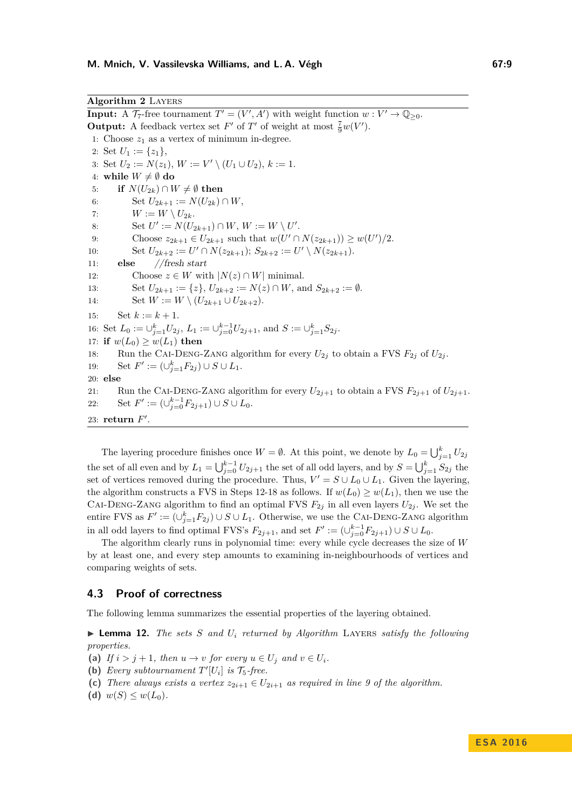<span id="page-8-0"></span>**Algorithm 2** Layers

**Input:** A  $\mathcal{T}_7$ -free tournament  $T' = (V', A')$  with weight function  $w: V' \to \mathbb{Q}_{\geq 0}$ . **Output:** A feedback vertex set  $F'$  of  $T'$  of weight at most  $\frac{7}{9}w(V')$ . 1: Choose  $z_1$  as a vertex of minimum in-degree. 2: Set  $U_1 := \{z_1\},\$ 3: Set  $U_2 := N(z_1), W := V' \setminus (U_1 \cup U_2), k := 1.$ 4: while  $W \neq \emptyset$  do 5: **if**  $N(U_{2k}) \cap W \neq \emptyset$  then 6: Set  $U_{2k+1} := N(U_{2k}) \cap W$ , 7:  $W := W \setminus U_{2k}.$ 8: Set  $U' := N(U_{2k+1}) \cap W$ ,  $W := W \setminus U'$ . 9: Choose  $z_{2k+1} \in U_{2k+1}$  such that  $w(U' \cap N(z_{2k+1})) \geq w(U')/2$ . 10: Set  $U_{2k+2} := U' \cap N(z_{2k+1});$   $S_{2k+2} := U' \setminus N(z_{2k+1}).$ 11: **else** //fresh start 12: Choose  $z \in W$  with  $|N(z) \cap W|$  minimal. 13: Set  $U_{2k+1} := \{z\}, U_{2k+2} := N(z) \cap W$ , and  $S_{2k+2} := \emptyset$ . 14: Set  $W := W \setminus (U_{2k+1} \cup U_{2k+2}).$ 15: Set  $k := k + 1$ . 16: Set  $L_0 := \bigcup_{j=1}^k U_{2j}$ ,  $L_1 := \bigcup_{j=0}^{k-1} U_{2j+1}$ , and  $S := \bigcup_{j=1}^k S_{2j}$ . 17: **if**  $w(L_0) \geq w(L_1)$  **then** 18: Run the CAI-DENG-ZANG algorithm for every  $U_{2j}$  to obtain a FVS  $F_{2j}$  of  $U_{2j}$ . 19: Set  $F' := (\cup_{j=1}^k F_{2j}) \cup S \cup L_1$ . 20: **else** 21: Run the CAI-DENG-ZANG algorithm for every  $U_{2j+1}$  to obtain a FVS  $F_{2j+1}$  of  $U_{2j+1}$ . 22: Set  $F' := (\bigcup_{j=0}^{k-1} F_{2j+1}) \cup S \cup L_0$ . 23: **return**  $F'$ .

The layering procedure finishes once  $W = \emptyset$ . At this point, we denote by  $L_0 = \bigcup_{j=1}^k U_{2j}$ the set of all even and by  $L_1 = \bigcup_{j=0}^{k-1} U_{2j+1}$  the set of all odd layers, and by  $S = \bigcup_{j=1}^{k} S_{2j}$  the set of vertices removed during the procedure. Thus,  $V' = S \cup L_0 \cup L_1$ . Given the layering, the algorithm constructs a FVS in Steps 12-18 as follows. If  $w(L_0) \geq w(L_1)$ , then we use the CAI-DENG-ZANG algorithm to find an optimal FVS  $F_{2j}$  in all even layers  $U_{2j}$ . We set the entire FVS as  $F' := (\cup_{j=1}^k F_{2j}) \cup S \cup L_1$ . Otherwise, we use the CAI-DENG-ZANG algorithm in all odd layers to find optimal FVS's  $F_{2j+1}$ , and set  $F' := (\cup_{j=0}^{k-1} F_{2j+1}) \cup S \cup L_0$ .

The algorithm clearly runs in polynomial time: every while cycle decreases the size of *W* by at least one, and every step amounts to examining in-neighbourhoods of vertices and comparing weights of sets.

### **4.3 Proof of correctness**

The following lemma summarizes the essential properties of the layering obtained.

<span id="page-8-1"></span> $\triangleright$  **Lemma 12.** *The sets S and*  $U_i$  *returned by Algorithm* LAYERS *satisfy the following properties.*

- (a) *If*  $i > j + 1$ *, then*  $u \to v$  *for every*  $u \in U_j$  *and*  $v \in U_j$ *.*
- (b) *Every subtournament*  $T'[U_i]$  *is*  $\mathcal{T}_5$ -free.
- (c) *There always exists a vertex*  $z_{2i+1} \in U_{2i+1}$  *as required in line 9 of the algorithm.*
- (d)  $w(S) \leq w(L_0)$ .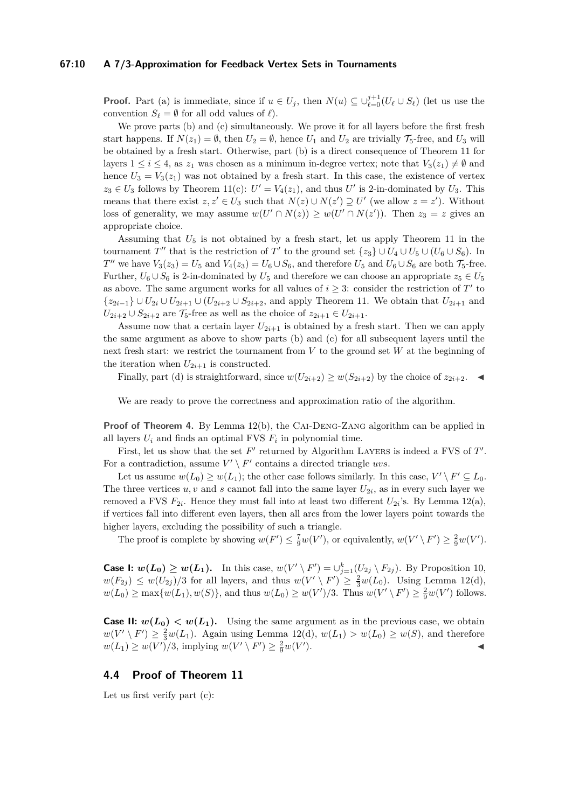#### **67:10 A 7/3-Approximation for Feedback Vertex Sets in Tournaments**

**Proof.** Part (a) is immediate, since if  $u \in U_j$ , then  $N(u) \subseteq \bigcup_{\ell=0}^{j+1} (U_\ell \cup S_\ell)$  (let us use the convention  $S_\ell = \emptyset$  for all odd values of  $\ell$ ).

We prove parts (b) and (c) simultaneously. We prove it for all layers before the first fresh start happens. If  $N(z_1) = \emptyset$ , then  $U_2 = \emptyset$ , hence  $U_1$  and  $U_2$  are trivially  $\mathcal{T}_5$ -free, and  $U_3$  will be obtained by a fresh start. Otherwise, part (b) is a direct consequence of Theorem [11](#page-7-0) for layers  $1 \leq i \leq 4$ , as  $z_1$  was chosen as a minimum in-degree vertex; note that  $V_3(z_1) \neq \emptyset$  and hence  $U_3 = V_3(z_1)$  was not obtained by a fresh start. In this case, the existence of vertex  $z_3 \in U_3$  follows by Theorem [11\(](#page-7-0)c):  $U' = V_4(z_1)$ , and thus  $U'$  is 2-in-dominated by  $U_3$ . This means that there exist  $z, z' \in U_3$  such that  $N(z) \cup N(z') \supseteq U'$  (we allow  $z = z'$ ). Without loss of generality, we may assume  $w(U' \cap N(z)) \geq w(U' \cap N(z'))$ . Then  $z_3 = z$  gives an appropriate choice.

Assuming that  $U_5$  is not obtained by a fresh start, let us apply Theorem [11](#page-7-0) in the tournament *T*<sup> $''$ </sup> that is the restriction of *T*<sup> $'$ </sup> to the ground set  $\{z_3\} \cup U_4 \cup U_5 \cup (U_6 \cup S_6)$ . In *T*<sup>"</sup> we have  $V_3(z_3) = U_5$  and  $V_4(z_3) = U_6 \cup S_6$ , and therefore  $U_5$  and  $U_6 \cup S_6$  are both  $\mathcal{T}_5$ -free. Further,  $U_6 \cup S_6$  is 2-in-dominated by  $U_5$  and therefore we can choose an appropriate  $z_5 \in U_5$ as above. The same argument works for all values of  $i \geq 3$ : consider the restriction of  $T'$  to  ${z_{2i-1}}$  ∪  $U_{2i}$  ∪  $U_{2i+1}$  ∪  $(U_{2i+2}$  ∪  $S_{2i+2}$ , and apply Theorem [11.](#page-7-0) We obtain that  $U_{2i+1}$  and  $U_{2i+2} \cup S_{2i+2}$  are  $\mathcal{T}_5$ -free as well as the choice of  $z_{2i+1} \in U_{2i+1}$ .

Assume now that a certain layer  $U_{2i+1}$  is obtained by a fresh start. Then we can apply the same argument as above to show parts (b) and (c) for all subsequent layers until the next fresh start: we restrict the tournament from *V* to the ground set *W* at the beginning of the iteration when  $U_{2i+1}$  is constructed.

Finally, part (d) is straightforward, since  $w(U_{2i+2}) \geq w(S_{2i+2})$  by the choice of  $z_{2i+2}$ .

We are ready to prove the correctness and approximation ratio of the algorithm.

**Proof of Theorem [4.](#page-5-1)** By Lemma [12\(](#page-8-1)b), the CAI-DENG-ZANG algorithm can be applied in all layers  $U_i$  and finds an optimal FVS  $F_i$  in polynomial time.

First, let us show that the set  $F'$  returned by Algorithm LAYERS is indeed a FVS of  $T'$ . For a contradiction, assume  $V' \setminus F'$  contains a directed triangle *uvs*.

Let us assume  $w(L_0) \geq w(L_1)$ ; the other case follows similarly. In this case,  $V' \setminus F' \subseteq L_0$ . The three vertices  $u, v$  and  $s$  cannot fall into the same layer  $U_{2i}$ , as in every such layer we removed a FVS  $F_{2i}$ . Hence they must fall into at least two different  $U_{2i}$ 's. By Lemma [12\(](#page-8-1)a), if vertices fall into different even layers, then all arcs from the lower layers point towards the higher layers, excluding the possibility of such a triangle.

The proof is complete by showing  $w(F') \leq \frac{7}{9}w(V')$ , or equivalently,  $w(V' \setminus F') \geq \frac{2}{9}w(V')$ .

**Case I:**  $w(L_0) \geq w(L_1)$ . In this case,  $w(V' \setminus F') = \bigcup_{j=1}^{k} (U_{2j} \setminus F_{2j})$ . By Proposition [10,](#page-6-2)  $w(F_{2j}) \leq w(U_{2j})/3$  for all layers, and thus  $w(V' \setminus F') \geq \frac{2}{3}w(L_0)$ . Using Lemma [12\(](#page-8-1)d),  $w(L_0) \ge \max\{w(L_1), w(S)\},\$ and thus  $w(L_0) \ge w(V')/3$ . Thus  $w(V' \setminus F') \ge \frac{2}{9}w(V')$  follows.

**Case II:**  $w(L_0) < w(L_1)$ . Using the same argument as in the previous case, we obtain  $w(V' \setminus F') \geq \frac{2}{3}w(L_1)$ . Again using Lemma [12\(](#page-8-1)d),  $w(L_1) > w(L_0) \geq w(S)$ , and therefore  $w(L_1) \geq w(V')/3$ , implying  $w(V' \setminus F') \geq \frac{2}{9}w(V')$  $\blacksquare$ ).

# <span id="page-9-0"></span>**4.4 Proof of Theorem [11](#page-7-0)**

Let us first verify part (c):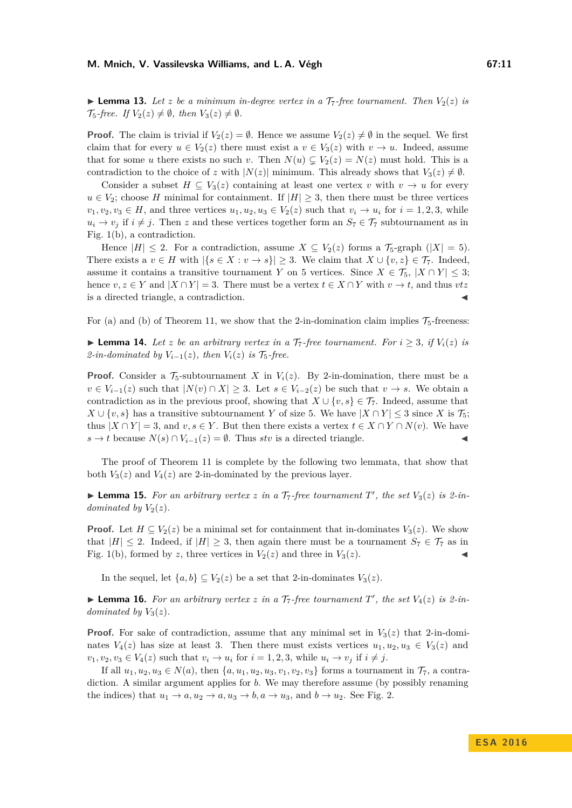**Example 13.** Let *z* be a minimum in-degree vertex in a  $\mathcal{T}_7$ -free tournament. Then  $V_2(z)$  is  $\mathcal{T}_5$ -free. If  $V_2(z) \neq \emptyset$ , then  $V_3(z) \neq \emptyset$ .

**Proof.** The claim is trivial if  $V_2(z) = \emptyset$ . Hence we assume  $V_2(z) \neq \emptyset$  in the sequel. We first claim that for every  $u \in V_2(z)$  there must exist a  $v \in V_3(z)$  with  $v \to u$ . Indeed, assume that for some *u* there exists no such *v*. Then  $N(u) \subsetneq V_2(z) = N(z)$  must hold. This is a contradiction to the choice of *z* with  $|N(z)|$  minimum. This already shows that  $V_3(z) \neq \emptyset$ .

Consider a subset  $H \subseteq V_3(z)$  containing at least one vertex *v* with  $v \to u$  for every  $u \in V_2$ ; choose *H* minimal for containment. If  $|H| \geq 3$ , then there must be three vertices  $v_1, v_2, v_3 \in H$ , and three vertices  $u_1, u_2, u_3 \in V_2(z)$  such that  $v_i \to u_i$  for  $i = 1, 2, 3$ , while  $u_i \to v_j$  if  $i \neq j$ . Then *z* and these vertices together form an  $S_7 \in \mathcal{T}_7$  subtournament as in Fig. [1\(](#page-3-0)b), a contradiction.

Hence  $|H| \leq 2$ . For a contradiction, assume  $X \subseteq V_2(z)$  forms a  $\mathcal{T}_5$ -graph  $(|X| = 5)$ . There exists a  $v \in H$  with  $|\{s \in X : v \to s\}| \geq 3$ . We claim that  $X \cup \{v, z\} \in \mathcal{T}_7$ . Indeed, assume it contains a transitive tournament *Y* on 5 vertices. Since  $X \in \mathcal{T}_5$ ,  $|X \cap Y| \leq 3$ ; hence  $v, z \in Y$  and  $|X \cap Y| = 3$ . There must be a vertex  $t \in X \cap Y$  with  $v \to t$ , and thus  $vtz$ is a directed triangle, a contradiction.

For (a) and (b) of Theorem [11,](#page-7-0) we show that the 2-in-domination claim implies  $\mathcal{T}_5$ -freeness:

▶ **Lemma 14.** Let *z* be an arbitrary vertex in a  $\mathcal{T}_7$ -free tournament. For  $i \geq 3$ , if  $V_i(z)$  is *2-in-dominated by*  $V_{i-1}(z)$ *, then*  $V_i(z)$  *is*  $\mathcal{T}_5$ -free.

**Proof.** Consider a  $\mathcal{T}_5$ -subtournament *X* in  $V_i(z)$ . By 2-in-domination, there must be a *v* ∈ *V*<sub>*i*−1</sub>(*z*) such that  $|N(v) \cap X| \ge 3$ . Let  $s \in V_{i-2}(z)$  be such that  $v \to s$ . We obtain a contradiction as in the previous proof, showing that  $X \cup \{v, s\} \in \mathcal{T}_7$ . Indeed, assume that *X* ∪ {*v, s*} has a transitive subtournament *Y* of size 5. We have  $|X \cap Y|$  ≤ 3 since *X* is  $\mathcal{T}_5$ ; thus  $|X \cap Y| = 3$ , and  $v, s \in Y$ . But then there exists a vertex  $t \in X \cap Y \cap N(v)$ . We have *s* → *t* because  $N(s) \cap V_{i-1}(z) = ∅$ . Thus *stv* is a directed triangle.

The proof of Theorem [11](#page-7-0) is complete by the following two lemmata, that show that both  $V_3(z)$  and  $V_4(z)$  are 2-in-dominated by the previous layer.

**Example 15.** For an arbitrary vertex *z* in a  $\mathcal{T}_7$ -free tournament  $T'$ , the set  $V_3(z)$  is 2-in*dominated by*  $V_2(z)$ *.* 

**Proof.** Let  $H \subseteq V_2(z)$  be a minimal set for containment that in-dominates  $V_3(z)$ . We show that  $|H| \leq 2$ . Indeed, if  $|H| \geq 3$ , then again there must be a tournament  $S_7 \in \mathcal{T}_7$  as in Fig. [1\(](#page-3-0)b), formed by *z*, three vertices in  $V_2(z)$  and three in  $V_3(z)$ .

In the sequel, let  $\{a, b\} \subseteq V_2(z)$  be a set that 2-in-dominates  $V_3(z)$ .

<span id="page-10-0"></span>**Example 16.** For an arbitrary vertex *z* in a  $\mathcal{T}_7$ -free tournament  $T'$ , the set  $V_4(z)$  is 2-in*dominated by*  $V_3(z)$ .

**Proof.** For sake of contradiction, assume that any minimal set in  $V_3(z)$  that 2-in-dominates  $V_4(z)$  has size at least 3. Then there must exists vertices  $u_1, u_2, u_3 \in V_3(z)$  and  $v_1, v_2, v_3 \in V_4(z)$  such that  $v_i \to u_i$  for  $i = 1, 2, 3$ , while  $u_i \to v_j$  if  $i \neq j$ .

If all  $u_1, u_2, u_3 \in N(a)$ , then  $\{a, u_1, u_2, u_3, v_1, v_2, v_3\}$  forms a tournament in  $\mathcal{T}_7$ , a contradiction. A similar argument applies for *b*. We may therefore assume (by possibly renaming the indices) that  $u_1 \rightarrow a, u_2 \rightarrow a, u_3 \rightarrow b, a \rightarrow u_3$ , and  $b \rightarrow u_2$ . See Fig. [2.](#page-11-1)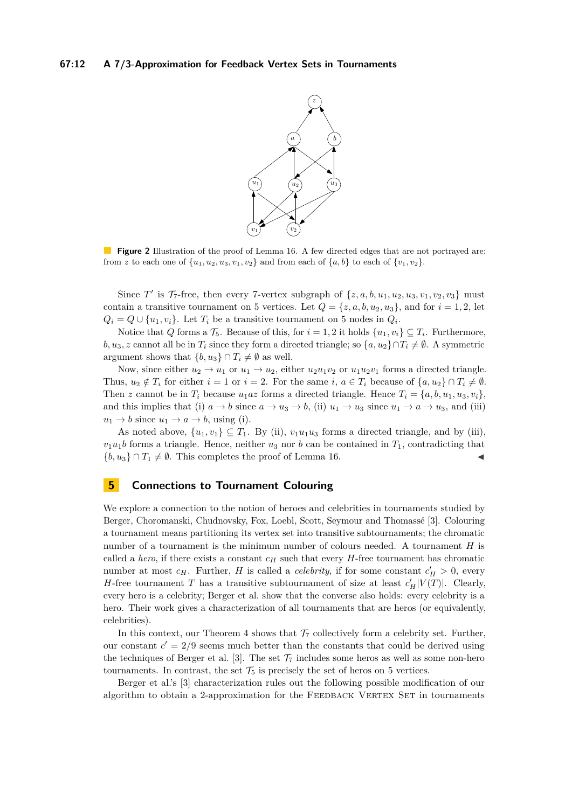#### <span id="page-11-1"></span>**67:12 A 7/3-Approximation for Feedback Vertex Sets in Tournaments**



**Figure 2** Illustration of the proof of Lemma [16.](#page-10-0) A few directed edges that are not portrayed are: from z to each one of  $\{u_1, u_2, u_3, v_1, v_2\}$  and from each of  $\{a, b\}$  to each of  $\{v_1, v_2\}$ .

Since *T*<sup>'</sup> is  $\mathcal{T}_7$ -free, then every 7-vertex subgraph of  $\{z, a, b, u_1, u_2, u_3, v_1, v_2, v_3\}$  must contain a transitive tournament on 5 vertices. Let  $Q = \{z, a, b, u_2, u_3\}$ , and for  $i = 1, 2$ , let  $Q_i = Q \cup \{u_1, v_i\}$ . Let  $T_i$  be a transitive tournament on 5 nodes in  $Q_i$ .

Notice that *Q* forms a  $\mathcal{T}_5$ . Because of this, for  $i = 1, 2$  it holds  $\{u_1, v_i\} \subseteq T_i$ . Furthermore, *b, u*<sub>3</sub>*, z* cannot all be in  $T_i$  since they form a directed triangle; so  $\{a, u_2\} \cap T_i \neq \emptyset$ . A symmetric argument shows that  $\{b, u_3\} \cap T_i \neq \emptyset$  as well.

Now, since either  $u_2 \to u_1$  or  $u_1 \to u_2$ , either  $u_2u_1v_2$  or  $u_1u_2v_1$  forms a directed triangle. Thus,  $u_2 \notin T_i$  for either  $i = 1$  or  $i = 2$ . For the same  $i, a \in T_i$  because of  $\{a, u_2\} \cap T_i \neq \emptyset$ . Then *z* cannot be in  $T_i$  because  $u_1az$  forms a directed triangle. Hence  $T_i = \{a, b, u_1, u_3, v_i\}$ , and this implies that (i)  $a \to b$  since  $a \to u_3 \to b$ , (ii)  $u_1 \to u_3$  since  $u_1 \to a \to u_3$ , and (iii)  $u_1 \rightarrow b$  since  $u_1 \rightarrow a \rightarrow b$ , using (i).

As noted above,  $\{u_1, v_1\} \subseteq T_1$ . By (ii),  $v_1u_1u_3$  forms a directed triangle, and by (iii),  $v_1u_1b$  forms a triangle. Hence, neither  $u_3$  nor *b* can be contained in  $T_1$ , contradicting that  ${b, u_3} \cap T_1 \neq \emptyset$ . This completes the proof of Lemma [16.](#page-10-0)

# <span id="page-11-0"></span>**5 Connections to Tournament Colouring**

We explore a connection to the notion of heroes and celebrities in tournaments studied by Berger, Choromanski, Chudnovsky, Fox, Loebl, Scott, Seymour and Thomassé [\[3\]](#page-12-7). Colouring a tournament means partitioning its vertex set into transitive subtournaments; the chromatic number of a tournament is the minimum number of colours needed. A tournament *H* is called a *hero*, if there exists a constant  $c_H$  such that every *H*-free tournament has chromatic number at most  $c_H$ . Further, *H* is called a *celebrity*, if for some constant  $c'_H > 0$ , every *H*-free tournament *T* has a transitive subtournament of size at least  $c_H'|V(T)|$ . Clearly, every hero is a celebrity; Berger et al. show that the converse also holds: every celebrity is a hero. Their work gives a characterization of all tournaments that are heros (or equivalently, celebrities).

In this context, our Theorem [4](#page-5-1) shows that  $\mathcal{T}_7$  collectively form a celebrity set. Further, our constant  $c' = 2/9$  seems much better than the constants that could be derived using the techniques of Berger et al. [\[3\]](#page-12-7). The set  $\mathcal{T}_7$  includes some heros as well as some non-hero tournaments. In contrast, the set  $\mathcal{T}_5$  is precisely the set of heros on 5 vertices.

Berger et al.'s [\[3\]](#page-12-7) characterization rules out the following possible modification of our algorithm to obtain a 2-approximation for the FEEDBACK VERTEX SET in tournaments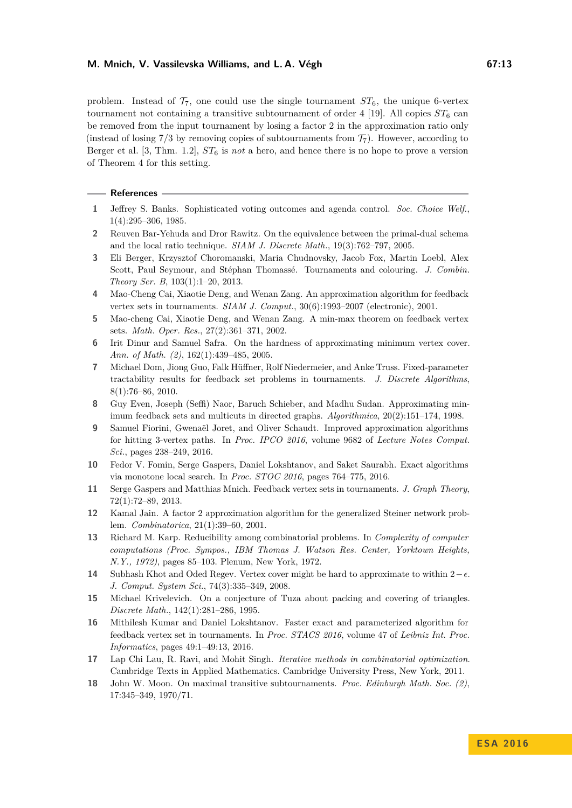problem. Instead of  $\mathcal{T}_7$ , one could use the single tournament  $ST_6$ , the unique 6-vertex tournament not containing a transitive subtournament of order 4 [\[19\]](#page-13-5). All copies  $ST_6$  can be removed from the input tournament by losing a factor 2 in the approximation ratio only (instead of losing  $7/3$  by removing copies of subtournaments from  $\mathcal{T}_7$ ). However, according to Berger et al. [\[3,](#page-12-7) Thm. 1.2], *ST*<sup>6</sup> is *not* a hero, and hence there is no hope to prove a version of Theorem [4](#page-5-1) for this setting.

#### **References**

- <span id="page-12-2"></span>**1** Jeffrey S. Banks. Sophisticated voting outcomes and agenda control. *Soc. Choice Welf.*, 1(4):295–306, 1985.
- <span id="page-12-5"></span>**2** Reuven Bar-Yehuda and Dror Rawitz. On the equivalence between the primal-dual schema and the local ratio technique. *SIAM J. Discrete Math.*, 19(3):762–797, 2005.
- <span id="page-12-7"></span>**3** Eli Berger, Krzysztof Choromanski, Maria Chudnovsky, Jacob Fox, Martin Loebl, Alex Scott, Paul Seymour, and Stéphan Thomassé. Tournaments and colouring. *J. Combin. Theory Ser. B*, 103(1):1–20, 2013.
- <span id="page-12-6"></span>**4** Mao-Cheng Cai, Xiaotie Deng, and Wenan Zang. An approximation algorithm for feedback vertex sets in tournaments. *SIAM J. Comput.*, 30(6):1993–2007 (electronic), 2001.
- <span id="page-12-13"></span>**5** Mao-cheng Cai, Xiaotie Deng, and Wenan Zang. A min-max theorem on feedback vertex sets. *Math. Oper. Res.*, 27(2):361–371, 2002.
- <span id="page-12-3"></span>**6** Irit Dinur and Samuel Safra. On the hardness of approximating minimum vertex cover. *Ann. of Math. (2)*, 162(1):439–485, 2005.
- <span id="page-12-8"></span>**7** Michael Dom, Jiong Guo, Falk Hüffner, Rolf Niedermeier, and Anke Truss. Fixed-parameter tractability results for feedback set problems in tournaments. *J. Discrete Algorithms*, 8(1):76–86, 2010.
- <span id="page-12-1"></span>**8** Guy Even, Joseph (Seffi) Naor, Baruch Schieber, and Madhu Sudan. Approximating minimum feedback sets and multicuts in directed graphs. *Algorithmica*, 20(2):151–174, 1998.
- <span id="page-12-17"></span>**9** Samuel Fiorini, Gwenaël Joret, and Oliver Schaudt. Improved approximation algorithms for hitting 3-vertex paths. In *Proc. IPCO 2016*, volume 9682 of *Lecture Notes Comput. Sci.*, pages 238–249, 2016.
- <span id="page-12-9"></span>**10** Fedor V. Fomin, Serge Gaspers, Daniel Lokshtanov, and Saket Saurabh. Exact algorithms via monotone local search. In *Proc. STOC 2016*, pages 764–775, 2016.
- <span id="page-12-11"></span>**11** Serge Gaspers and Matthias Mnich. Feedback vertex sets in tournaments. *J. Graph Theory*, 72(1):72–89, 2013.
- <span id="page-12-15"></span>**12** Kamal Jain. A factor 2 approximation algorithm for the generalized Steiner network problem. *Combinatorica*, 21(1):39–60, 2001.
- <span id="page-12-0"></span>**13** Richard M. Karp. Reducibility among combinatorial problems. In *Complexity of computer computations (Proc. Sympos., IBM Thomas J. Watson Res. Center, Yorktown Heights, N.Y., 1972)*, pages 85–103. Plenum, New York, 1972.
- <span id="page-12-4"></span>**14** Subhash Khot and Oded Regev. Vertex cover might be hard to approximate to within  $2-\epsilon$ . *J. Comput. System Sci.*, 74(3):335–349, 2008.
- <span id="page-12-16"></span>**15** Michael Krivelevich. On a conjecture of Tuza about packing and covering of triangles. *Discrete Math.*, 142(1):281–286, 1995.
- <span id="page-12-12"></span>**16** Mithilesh Kumar and Daniel Lokshtanov. Faster exact and parameterized algorithm for feedback vertex set in tournaments. In *Proc. STACS 2016*, volume 47 of *Leibniz Int. Proc. Informatics*, pages 49:1–49:13, 2016.
- <span id="page-12-14"></span>**17** Lap Chi Lau, R. Ravi, and Mohit Singh. *Iterative methods in combinatorial optimization*. Cambridge Texts in Applied Mathematics. Cambridge University Press, New York, 2011.
- <span id="page-12-10"></span>**18** John W. Moon. On maximal transitive subtournaments. *Proc. Edinburgh Math. Soc. (2)*, 17:345–349, 1970/71.